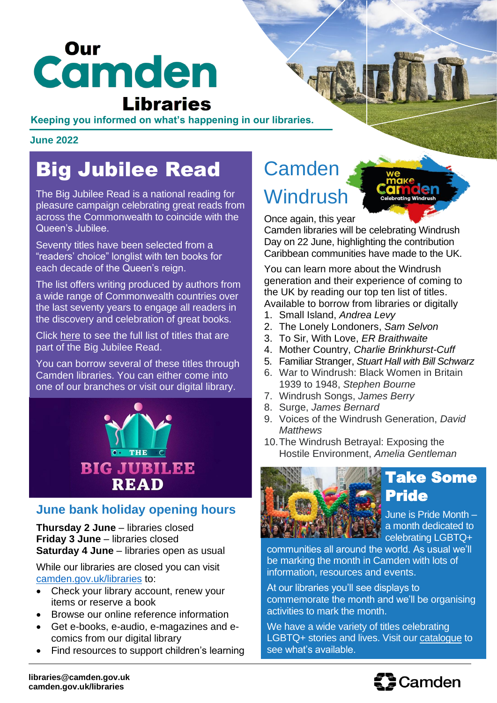# camden **Libraries**

#### **Keeping you informed on what's happening in our libraries.**

#### **June 2022**

# Big Jubilee Read

The Big Jubilee Read is a national reading for pleasure campaign celebrating great reads from across the Commonwealth to coincide with the Queen's Jubilee.

Seventy titles have been selected from a "readers' choice" longlist with ten books for each decade of the Queen's reign.

The list offers writing produced by authors from a wide range of Commonwealth countries over the last seventy years to engage all readers in the discovery and celebration of great books.

Click [here](https://readinggroups.org/big-jubilee-read) to see the full list of titles that are part of the Big Jubilee Read.

You can borrow several of these titles through Camden libraries. You can either come into one of our branches or visit our digital library.



### **June bank holiday opening hours**

**Thursday 2 June** – libraries closed **Friday 3 June** – libraries closed **Saturday 4 June** – libraries open as usual

While our libraries are closed you can visit [camden.gov.uk/libraries](https://www.camden.gov.uk/libraries-local-studies) to:

- Check your library account, renew your items or reserve a book
- Browse our online reference information
- Get e-books, e-audio, e-magazines and ecomics from our digital library
- Find resources to support children's learning

# **Camden Windrush**

Once again, this year

Camden libraries will be celebrating Windrush Day on 22 June, highlighting the contribution Caribbean communities have made to the UK.

You can learn more about the Windrush generation and their experience of coming to the UK by reading our top ten list of titles. Available to borrow from libraries or digitally

- 1. Small Island, *Andrea Levy*
- 2. The Lonely Londoners, *Sam Selvon*
- 3. To Sir, With Love, *ER Braithwaite*
- 4. Mother Country, *Charlie Brinkhurst-Cuff*
- 5. Familiar Stranger, *Stuart Hall with Bill Schwarz*
- 6. War to Windrush: Black Women in Britain 1939 to 1948, *Stephen Bourne*
- 7. Windrush Songs, *James Berry*
- 8. Surge, *James Bernard*
- 9. Voices of the Windrush Generation, *David Matthews*
- 10.The Windrush Betrayal: Exposing the Hostile Environment, *Amelia Gentleman*



# Take Some Pride

June is Pride Month – a month dedicated to **Celebrating LGBTQ+** 

communities all around the world. As usual we'll be marking the month in Camden with lots of information, resources and events.

At our libraries you'll see displays to commemorate the month and we'll be organising activities to mark the month.

We have a wide variety of titles celebrating LGBTQ+ stories and lives. Visit our [catalogue](https://camden.spydus.co.uk/cgi-bin/spydus.exe/MSGTRN/WPAC/HOME) to see what's available.